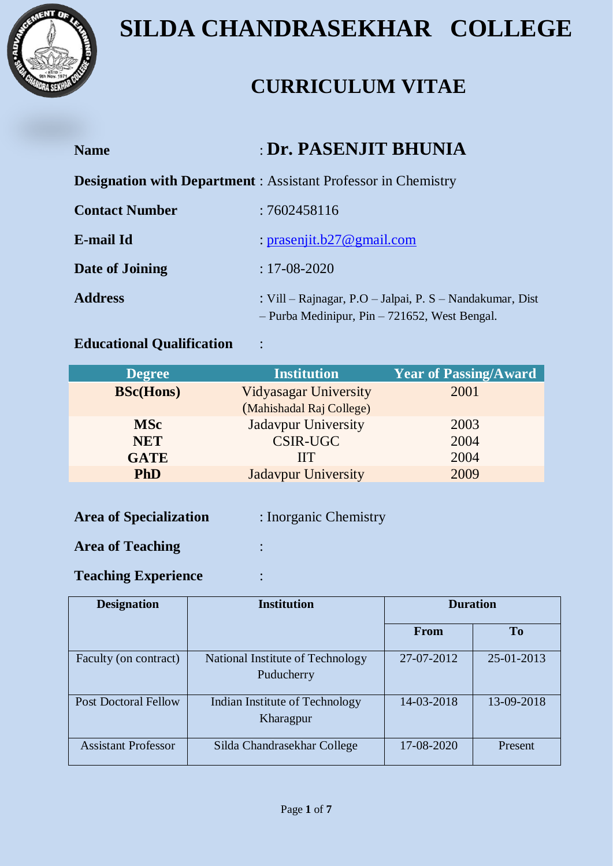

### **CURRICULUM VITAE**

| <b>Name</b>           | <b>: Dr. PASENJIT BHUNIA</b>                                                                                    |  |
|-----------------------|-----------------------------------------------------------------------------------------------------------------|--|
|                       | <b>Designation with Department:</b> Assistant Professor in Chemistry                                            |  |
| <b>Contact Number</b> | :7602458116                                                                                                     |  |
| E-mail Id             | : prasenjit.b27@gmail.com                                                                                       |  |
| Date of Joining       | $: 17 - 08 - 2020$                                                                                              |  |
| <b>Address</b>        | : Vill – Rajnagar, P.O – Jalpai, P. $S$ – Nandakumar, Dist<br>$-$ Purba Medinipur, Pin $-$ 721652, West Bengal. |  |

#### **Educational Qualification** :

| <b>Degree</b>    | <b>Institution</b>           | <b>Year of Passing/Award</b> |
|------------------|------------------------------|------------------------------|
| <b>BSc(Hons)</b> | <b>Vidyasagar University</b> | 2001                         |
|                  | (Mahishadal Raj College)     |                              |
| <b>MSc</b>       | <b>Jadavpur University</b>   | 2003                         |
| <b>NET</b>       | <b>CSIR-UGC</b>              | 2004                         |
| <b>GATE</b>      | IIТ                          | 2004                         |
| <b>PhD</b>       | <b>Jadavpur University</b>   | 2009                         |
|                  |                              |                              |

| <b>Area of Specialization</b> | : Inorganic Chemistry |
|-------------------------------|-----------------------|
| <b>Area of Teaching</b>       |                       |

### **Teaching Experience** :

| <b>Designation</b>          | <b>Institution</b>                             | <b>Duration</b> |            |
|-----------------------------|------------------------------------------------|-----------------|------------|
|                             |                                                | <b>From</b>     | <b>To</b>  |
| Faculty (on contract)       | National Institute of Technology<br>Puducherry | 27-07-2012      | 25-01-2013 |
| <b>Post Doctoral Fellow</b> | Indian Institute of Technology<br>Kharagpur    | 14-03-2018      | 13-09-2018 |
| <b>Assistant Professor</b>  | Silda Chandrasekhar College                    | 17-08-2020      | Present    |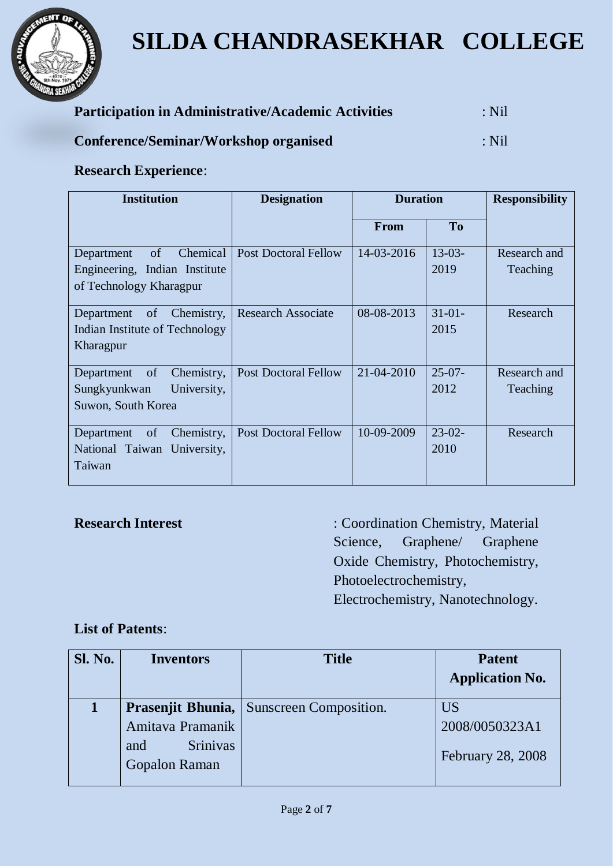

| <b>Participation in Administrative/Academic Activities</b> | $\therefore$ Nil |
|------------------------------------------------------------|------------------|
| Conference/Seminar/Workshop organised                      | $\therefore$ Nil |

#### **Research Experience**:

| <b>Institution</b>                                                                       | <b>Designation</b>          | <b>Duration</b> |                  | <b>Responsibility</b>    |
|------------------------------------------------------------------------------------------|-----------------------------|-----------------|------------------|--------------------------|
|                                                                                          |                             | <b>From</b>     | T <sub>o</sub>   |                          |
| of<br>Chemical<br>Department<br>Engineering, Indian Institute<br>of Technology Kharagpur | <b>Post Doctoral Fellow</b> | 14-03-2016      | $13-03-$<br>2019 | Research and<br>Teaching |
| of<br>Chemistry,<br>Department<br>Indian Institute of Technology<br>Kharagpur            | <b>Research Associate</b>   | 08-08-2013      | $31-01-$<br>2015 | Research                 |
| of<br>Chemistry,<br>Department<br>Sungkyunkwan<br>University,<br>Suwon, South Korea      | <b>Post Doctoral Fellow</b> | 21-04-2010      | $25-07-$<br>2012 | Research and<br>Teaching |
| Chemistry,<br>of<br>Department<br>National Taiwan University,<br>Taiwan                  | <b>Post Doctoral Fellow</b> | 10-09-2009      | $23-02-$<br>2010 | Research                 |

**Research Interest** : Coordination Chemistry, Material Science, Graphene/ Graphene Oxide Chemistry, Photochemistry, Photoelectrochemistry, Electrochemistry, Nanotechnology.

#### **List of Patents**:

| <b>Sl. No.</b> | <b>Inventors</b>                        | <b>Title</b>           | <b>Patent</b>            |
|----------------|-----------------------------------------|------------------------|--------------------------|
|                |                                         |                        | <b>Application No.</b>   |
|                | Prasenjit Bhunia,                       | Sunscreen Composition. | <b>US</b>                |
|                | Amitava Pramanik                        |                        | 2008/0050323A1           |
|                | <b>Srinivas</b><br>and<br>Gopalon Raman |                        | <b>February 28, 2008</b> |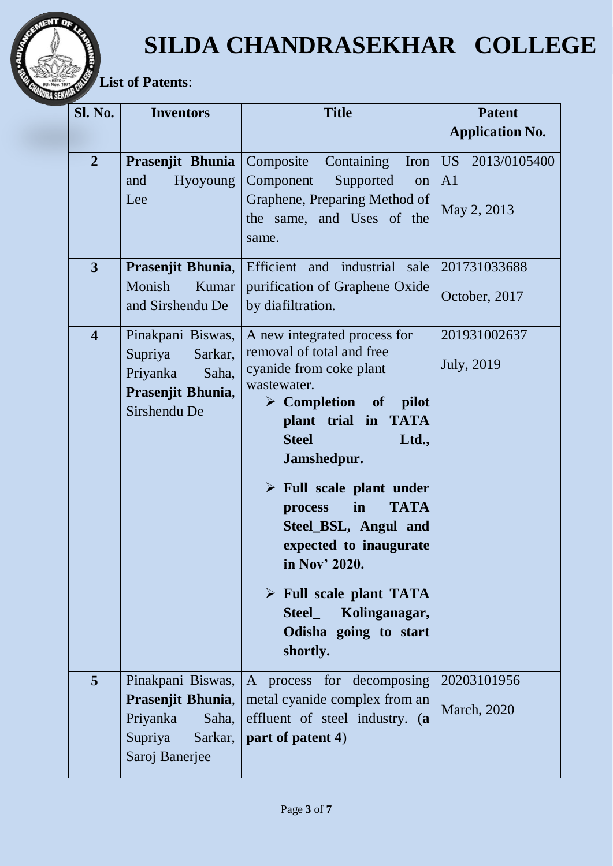

 **List of Patents**:

**CNT**  $\boldsymbol{0}$ 

| Sl. No.                 | <b>Inventors</b>                                             | <b>Title</b>                                                                                                                                                                                                                                                                                                                                                      | <b>Patent</b>                                         |
|-------------------------|--------------------------------------------------------------|-------------------------------------------------------------------------------------------------------------------------------------------------------------------------------------------------------------------------------------------------------------------------------------------------------------------------------------------------------------------|-------------------------------------------------------|
|                         |                                                              |                                                                                                                                                                                                                                                                                                                                                                   | <b>Application No.</b>                                |
| $\overline{2}$          | Prasenjit Bhunia<br>Hyoyoung<br>and<br>Lee                   | Containing<br>Composite<br>Iron<br>Component<br>Supported<br>on<br>Graphene, Preparing Method of<br>the same, and Uses of the<br>same.                                                                                                                                                                                                                            | US  <br>2013/0105400<br>A <sub>1</sub><br>May 2, 2013 |
| 3                       | Prasenjit Bhunia,                                            | Efficient and industrial sale                                                                                                                                                                                                                                                                                                                                     | 201731033688                                          |
|                         | Monish<br>Kumar<br>and Sirshendu De                          | purification of Graphene Oxide<br>by diafiltration.                                                                                                                                                                                                                                                                                                               | October, 2017                                         |
| $\overline{\mathbf{4}}$ | Pinakpani Biswas,                                            | A new integrated process for                                                                                                                                                                                                                                                                                                                                      | 201931002637                                          |
|                         | Supriya<br>Sarkar,<br>Priyanka<br>Saha,<br>Prasenjit Bhunia, | removal of total and free<br>cyanide from coke plant<br>wastewater.                                                                                                                                                                                                                                                                                               | <b>July</b> , 2019                                    |
|                         | Sirshendu De                                                 | $\triangleright$ Completion of pilot<br>plant trial in TATA<br><b>Steel</b><br>Ltd.,<br>Jamshedpur.<br>$\triangleright$ Full scale plant under<br><b>TATA</b><br>in<br>process<br>Steel_BSL, Angul and<br>expected to inaugurate<br>in Nov' 2020.<br>$\triangleright$ Full scale plant TATA<br>Kolinganagar,<br><b>Steel</b><br>Odisha going to start<br>shortly. |                                                       |
| 5                       | Pinakpani Biswas,                                            | A process for decomposing<br><b>Prasenjit Bhunia,   metal cyanide complex from an</b>                                                                                                                                                                                                                                                                             | 20203101956                                           |
|                         | Priyanka<br>Saha,                                            | effluent of steel industry. (a                                                                                                                                                                                                                                                                                                                                    | <b>March</b> , 2020                                   |
|                         | Supriya<br>Sarkar,<br>Saroj Banerjee                         | part of patent 4)                                                                                                                                                                                                                                                                                                                                                 |                                                       |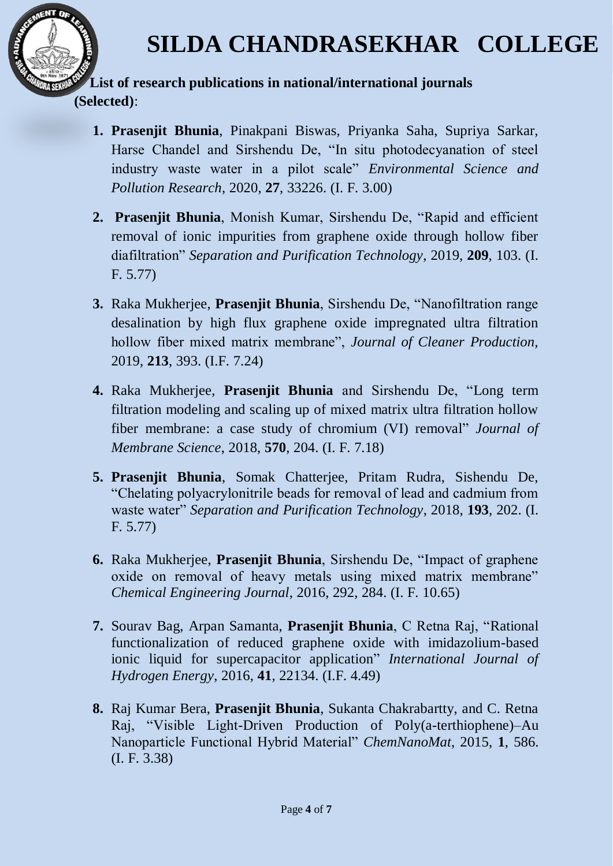

#### **List of research publications in national/international journals (Selected)**:

- **1. Prasenjit Bhunia**, Pinakpani Biswas, Priyanka Saha, Supriya Sarkar, Harse Chandel and Sirshendu De, "In situ photodecyanation of steel industry waste water in a pilot scale" *Environmental Science and Pollution Research*, 2020, **27**, 33226. (I. F. 3.00)
- **2. Prasenjit Bhunia**, Monish Kumar, Sirshendu De, "Rapid and efficient removal of ionic impurities from graphene oxide through hollow fiber diafiltration" *Separation and Purification Technology*, 2019, **209**, 103. (I. F. 5.77)
- **3.** Raka Mukherjee, **Prasenjit Bhunia**, Sirshendu De, "Nanofiltration range desalination by high flux graphene oxide impregnated ultra filtration hollow fiber mixed matrix membrane", *Journal of Cleaner Production,* 2019, **213**, 393. (I.F. 7.24)
- **4.** Raka Mukherjee, **Prasenjit Bhunia** and Sirshendu De, ["Long term](https://www.sciencedirect.com/science/article/pii/S0376738818314431)  [filtration modeling and scaling up of mixed matrix ultra filtration hollow](https://www.sciencedirect.com/science/article/pii/S0376738818314431)  [fiber membrane: a case study of chromium \(VI\) removal"](https://www.sciencedirect.com/science/article/pii/S0376738818314431) *Journal of Membrane Science*, 2018, **570**, 204. (I. F. 7.18)
- **5. Prasenjit Bhunia**, Somak Chatterjee, Pritam Rudra, Sishendu De, "Chelating polyacrylonitrile beads for removal of lead and cadmium from waste water" *Separation and Purification Technology*, 2018, **193**, 202. (I. F. 5.77)
- **6.** Raka Mukherjee, **Prasenjit Bhunia**, Sirshendu De, "Impact of graphene oxide on removal of heavy metals using mixed matrix membrane" *Chemical Engineering Journal*, 2016, 292, 284. (I. F. 10.65)
- **7.** Sourav Bag, Arpan Samanta, **Prasenjit Bhunia**, C Retna Raj, "Rational functionalization of reduced graphene oxide with imidazolium-based ionic liquid for supercapacitor application" *International Journal of Hydrogen Energy*, 2016, **41**, 22134. (I.F. 4.49)
- **8.** Raj Kumar Bera, **Prasenjit Bhunia**, Sukanta Chakrabartty, and C. Retna Raj, "Visible Light-Driven Production of Poly(a-terthiophene)–Au Nanoparticle Functional Hybrid Material" *ChemNanoMat*, 2015, **1**, 586. (I. F. 3.38)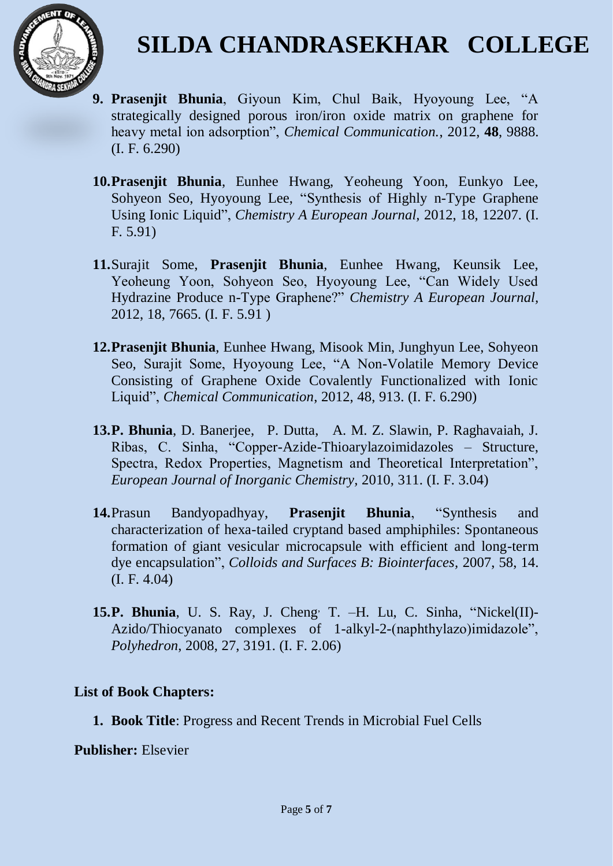

- **9. Prasenjit Bhunia**, Giyoun Kim, Chul Baik, Hyoyoung Lee, "A strategically designed porous iron/iron oxide matrix on graphene for heavy metal ion adsorption", *Chemical Communication.*, 2012, **48**, 9888. (I. F. 6.290)
- **10.Prasenjit Bhunia**, Eunhee Hwang, Yeoheung Yoon, Eunkyo Lee, Sohyeon Seo, Hyoyoung Lee, "Synthesis of Highly n-Type Graphene Using Ionic Liquid", *Chemistry A European Journal,* 2012, 18, 12207. (I. F. 5.91)
- **11.**Surajit Some, **Prasenjit Bhunia**, Eunhee Hwang, Keunsik Lee, Yeoheung Yoon, Sohyeon Seo, Hyoyoung Lee, "Can Widely Used Hydrazine Produce n-Type Graphene?" *Chemistry A European Journal,* 2012, 18, 7665. (I. F. 5.91 )
- **12.Prasenjit Bhunia**, Eunhee Hwang, Misook Min, Junghyun Lee, Sohyeon Seo, Surajit Some, Hyoyoung Lee, "A Non-Volatile Memory Device Consisting of Graphene Oxide Covalently Functionalized with Ionic Liquid", *Chemical Communication*, 2012, 48, 913. (I. F. 6.290)
- **13.P. Bhunia**, D. Banerjee, P. Dutta, A. M. Z. Slawin, P. Raghavaiah, J. Ribas, C. Sinha, "Copper-Azide-Thioarylazoimidazoles – Structure, Spectra, Redox Properties, Magnetism and Theoretical Interpretation", *European Journal of Inorganic Chemistry,* 2010, 311. (I. F. 3.04)
- **14.**[Prasun Bandyopadhyay,](http://lib.bioinfo.pl/auth:Bandyopadhyay,P) **Prasenjit Bhunia**, ["Synthesis and](http://lib.bioinfo.pl/pmid:17284355)  [characterization of hexa-tailed cryptand based amphiphiles: Spontaneous](http://lib.bioinfo.pl/pmid:17284355)  [formation of giant vesicular microcapsule with efficient and long-term](http://lib.bioinfo.pl/pmid:17284355)  [dye encapsulation"](http://lib.bioinfo.pl/pmid:17284355), *Colloids and Surfaces B: Biointerfaces,* 2007, 58, 14. (I. F. 4.04)
- **15.P. Bhunia**, U. S. Ray, J. Cheng, T. –H. Lu, C. Sinha, "Nickel(II)- Azido/Thiocyanato complexes of 1-alkyl-2-(naphthylazo)imidazole", *Polyhedron*, 2008, 27, 3191. (I. F. 2.06)

#### **List of Book Chapters:**

**1. Book Title**: Progress and Recent Trends in Microbial Fuel Cells

**Publisher:** Elsevier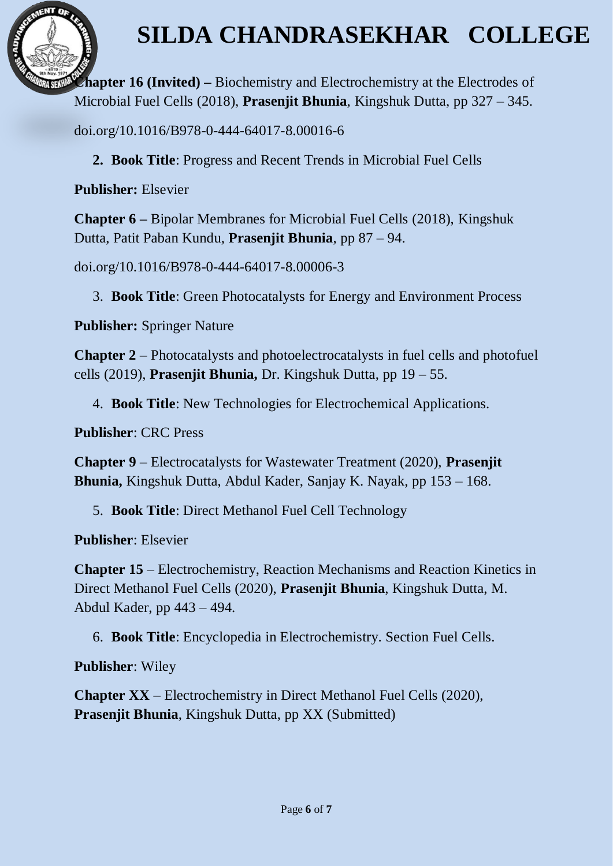

**Chapter 16 (Invited) –** Biochemistry and Electrochemistry at the Electrodes of Microbial Fuel Cells (2018), **Prasenjit Bhunia**, Kingshuk Dutta, pp 327 – 345.

doi.org/10.1016/B978-0-444-64017-8.00016-6

**2. Book Title**: Progress and Recent Trends in Microbial Fuel Cells

**Publisher:** Elsevier

MENT OF

**Chapter 6 –** Bipolar Membranes for Microbial Fuel Cells (2018), Kingshuk Dutta, Patit Paban Kundu, **Prasenjit Bhunia**, pp 87 – 94.

doi.org/10.1016/B978-0-444-64017-8.00006-3

3. **Book Title**: Green Photocatalysts for Energy and Environment Process

**Publisher:** Springer Nature

**Chapter 2** – [Photocatalysts and photoelectrocatalysts in fuel cells and photofuel](javascript:void(0))  [cells](javascript:void(0)) (2019), **Prasenjit Bhunia,** Dr. Kingshuk Dutta, pp 19 – 55.

4. **Book Title**: New Technologies for Electrochemical Applications.

**Publisher**: CRC Press

**Chapter 9** – Electrocatalysts for Wastewater Treatment (2020), **Prasenjit Bhunia,** Kingshuk Dutta, Abdul Kader, Sanjay K. Nayak, pp 153 – 168.

5. **Book Title**: Direct Methanol Fuel Cell Technology

**Publisher**: Elsevier

**Chapter 15** – Electrochemistry, Reaction Mechanisms and Reaction Kinetics in Direct Methanol Fuel Cells (2020), **Prasenjit Bhunia**, Kingshuk Dutta, M. Abdul Kader, pp 443 – 494.

6. **Book Title**: Encyclopedia in Electrochemistry. Section Fuel Cells.

**Publisher**: Wiley

**Chapter XX** – Electrochemistry in Direct Methanol Fuel Cells (2020), **Prasenjit Bhunia**, Kingshuk Dutta, pp XX (Submitted)